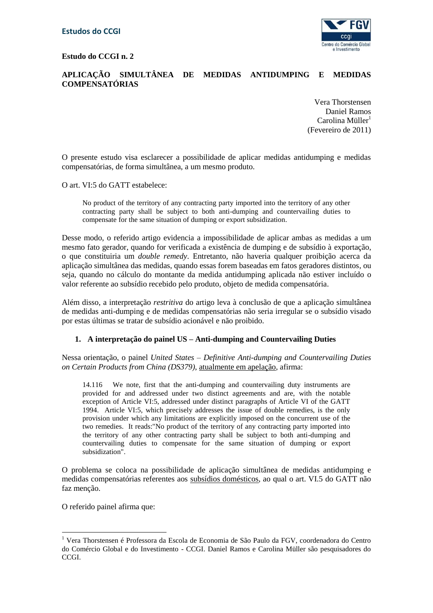**Estudo do CCGI n. 2**



## **APLICAÇÃO SIMULTÂNEA DE MEDIDAS ANTIDUMPING E MEDIDAS COMPENSATÓRIAS**

Vera Thorstensen Daniel Ramos  $Carolina$  Müller<sup>1</sup> (Fevereiro de 2011)

O presente estudo visa esclarecer a possibilidade de aplicar medidas antidumping e medidas compensatórias, de forma simultânea, a um mesmo produto.

O art. VI:5 do GATT estabelece:

No product of the territory of any contracting party imported into the territory of any other contracting party shall be subject to both anti-dumping and countervailing duties to compensate for the same situation of dumping or export subsidization.

Desse modo, o referido artigo evidencia a impossibilidade de aplicar ambas as medidas a um mesmo fato gerador, quando for verificada a existência de dumping e de subsídio à exportação, o que constituiria um *double remedy*. Entretanto, não haveria qualquer proibição acerca da aplicação simultânea das medidas, quando essas forem baseadas em fatos geradores distintos, ou seja, quando no cálculo do montante da medida antidumping aplicada não estiver incluído o valor referente ao subsídio recebido pelo produto, objeto de medida compensatória.

Além disso, a interpretação *restritiva* do artigo leva à conclusão de que a aplicação simultânea de medidas anti-dumping e de medidas compensatórias não seria irregular se o subsídio visado por estas últimas se tratar de subsídio acionável e não proibido.

## **1. A interpretação do painel US – Anti-dumping and Countervailing Duties**

Nessa orientação, o painel *United States – Definitive Anti-dumping and Countervailing Duties on Certain Products from China (DS379)*, atualmente em apelação, afirma:

14.116 We note, first that the anti-dumping and countervailing duty instruments are provided for and addressed under two distinct agreements and are, with the notable exception of Article VI:5, addressed under distinct paragraphs of Article VI of the GATT 1994. Article VI:5, which precisely addresses the issue of double remedies, is the only provision under which any limitations are explicitly imposed on the concurrent use of the two remedies. It reads:"No product of the territory of any contracting party imported into the territory of any other contracting party shall be subject to both anti-dumping and countervailing duties to compensate for the same situation of dumping or export subsidization".

O problema se coloca na possibilidade de aplicação simultânea de medidas antidumping e medidas compensatórias referentes aos subsídios domésticos, ao qual o art. VI.5 do GATT não faz menção.

O referido painel afirma que:

1

<sup>&</sup>lt;sup>1</sup> Vera Thorstensen é Professora da Escola de Economia de São Paulo da FGV, coordenadora do Centro do Comércio Global e do Investimento - CCGI. Daniel Ramos e Carolina Müller são pesquisadores do CCGI.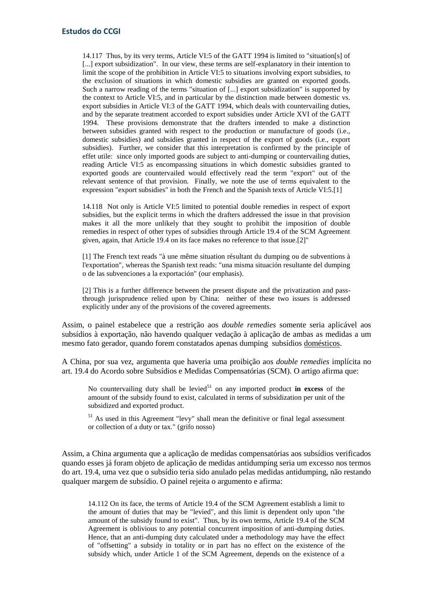14.117 Thus, by its very terms, Article VI:5 of the GATT 1994 is limited to "situation[s] of [...] export subsidization". In our view, these terms are self-explanatory in their intention to limit the scope of the prohibition in Article VI:5 to situations involving export subsidies, to the exclusion of situations in which domestic subsidies are granted on exported goods. Such a narrow reading of the terms "situation of [...] export subsidization" is supported by the context to Article VI:5, and in particular by the distinction made between domestic vs. export subsidies in Article VI:3 of the GATT 1994, which deals with countervailing duties, and by the separate treatment accorded to export subsidies under Article XVI of the GATT 1994. These provisions demonstrate that the drafters intended to make a distinction between subsidies granted with respect to the production or manufacture of goods (i.e., domestic subsidies) and subsidies granted in respect of the export of goods (i.e., export subsidies). Further, we consider that this interpretation is confirmed by the principle of effet utile: since only imported goods are subject to anti-dumping or countervailing duties, reading Article VI:5 as encompassing situations in which domestic subsidies granted to exported goods are countervailed would effectively read the term "export" out of the relevant sentence of that provision. Finally, we note the use of terms equivalent to the expression "export subsidies" in both the French and the Spanish texts of Article VI:5.[1]

14.118 Not only is Article VI:5 limited to potential double remedies in respect of export subsidies, but the explicit terms in which the drafters addressed the issue in that provision makes it all the more unlikely that they sought to prohibit the imposition of double remedies in respect of other types of subsidies through Article 19.4 of the SCM Agreement given, again, that Article 19.4 on its face makes no reference to that issue.[2]"

[1] The French text reads "à une même situation résultant du dumping ou de subventions à l'exportation", whereas the Spanish text reads: "una misma situación resultante del dumping o de las subvenciones a la exportación" (our emphasis).

[2] This is a further difference between the present dispute and the privatization and passthrough jurisprudence relied upon by China: neither of these two issues is addressed explicitly under any of the provisions of the covered agreements.

Assim, o painel estabelece que a restrição aos *double remedies* somente seria aplicável aos subsídios à exportação, não havendo qualquer vedação à aplicação de ambas as medidas a um mesmo fato gerador, quando forem constatados apenas dumping subsídios domésticos.

A China, por sua vez, argumenta que haveria uma proibição aos *double remedies* implícita no art. 19.4 do Acordo sobre Subsídios e Medidas Compensatórias (SCM). O artigo afirma que:

No countervailing duty shall be levied<sup>51</sup> on any imported product **in excess** of the amount of the subsidy found to exist, calculated in terms of subsidization per unit of the subsidized and exported product.

<sup>51</sup> As used in this Agreement "levy" shall mean the definitive or final legal assessment or collection of a duty or tax." (grifo nosso)

Assim, a China argumenta que a aplicação de medidas compensatórias aos subsídios verificados quando esses já foram objeto de aplicação de medidas antidumping seria um excesso nos termos do art. 19.4, uma vez que o subsídio teria sido anulado pelas medidas antidumping, não restando qualquer margem de subsídio. O painel rejeita o argumento e afirma:

14.112 On its face, the terms of Article 19.4 of the SCM Agreement establish a limit to the amount of duties that may be "levied", and this limit is dependent only upon "the amount of the subsidy found to exist". Thus, by its own terms, Article 19.4 of the SCM Agreement is oblivious to any potential concurrent imposition of anti-dumping duties. Hence, that an anti-dumping duty calculated under a methodology may have the effect of "offsetting" a subsidy in totality or in part has no effect on the existence of the subsidy which, under Article 1 of the SCM Agreement, depends on the existence of a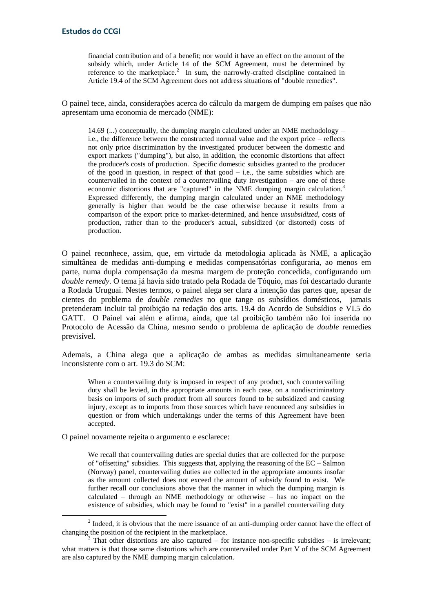financial contribution and of a benefit; nor would it have an effect on the amount of the subsidy which, under Article 14 of the SCM Agreement, must be determined by reference to the marketplace.<sup>2</sup> In sum, the narrowly-crafted discipline contained in Article 19.4 of the SCM Agreement does not address situations of "double remedies".

O painel tece, ainda, considerações acerca do cálculo da margem de dumping em países que não apresentam uma economia de mercado (NME):

14.69 (...) conceptually, the dumping margin calculated under an NME methodology – i.e., the difference between the constructed normal value and the export price – reflects not only price discrimination by the investigated producer between the domestic and export markets ("dumping"), but also, in addition, the economic distortions that affect the producer's costs of production. Specific domestic subsidies granted to the producer of the good in question, in respect of that good  $-$  i.e., the same subsidies which are countervailed in the context of a countervailing duty investigation – are one of these economic distortions that are "captured" in the NME dumping margin calculation.<sup>3</sup> Expressed differently, the dumping margin calculated under an NME methodology generally is higher than would be the case otherwise because it results from a comparison of the export price to market-determined, and hence *unsubsidized*, costs of production, rather than to the producer's actual, subsidized (or distorted) costs of production.

O painel reconhece, assim, que, em virtude da metodologia aplicada às NME, a aplicação simultânea de medidas anti-dumping e medidas compensatórias configuraria, ao menos em parte, numa dupla compensação da mesma margem de proteção concedida, configurando um *double remedy*. O tema já havia sido tratado pela Rodada de Tóquio, mas foi descartado durante a Rodada Uruguai. Nestes termos, o painel alega ser clara a intenção das partes que, apesar de cientes do problema de *double remedies* no que tange os subsídios domésticos, jamais pretenderam incluir tal proibição na redação dos arts. 19.4 do Acordo de Subsídios e VI.5 do GATT. O Painel vai além e afirma, ainda, que tal proibição também não foi inserida no Protocolo de Acessão da China, mesmo sendo o problema de aplicação de *double* remedies previsível.

Ademais, a China alega que a aplicação de ambas as medidas simultaneamente seria inconsistente com o art. 19.3 do SCM:

When a countervailing duty is imposed in respect of any product, such countervailing duty shall be levied, in the appropriate amounts in each case, on a nondiscriminatory basis on imports of such product from all sources found to be subsidized and causing injury, except as to imports from those sources which have renounced any subsidies in question or from which undertakings under the terms of this Agreement have been accepted.

O painel novamente rejeita o argumento e esclarece:

<u>.</u>

We recall that countervailing duties are special duties that are collected for the purpose of "offsetting" subsidies. This suggests that, applying the reasoning of the EC – Salmon (Norway) panel, countervailing duties are collected in the appropriate amounts insofar as the amount collected does not exceed the amount of subsidy found to exist. We further recall our conclusions above that the manner in which the dumping margin is calculated – through an NME methodology or otherwise – has no impact on the existence of subsidies, which may be found to "exist" in a parallel countervailing duty

 $2$  Indeed, it is obvious that the mere issuance of an anti-dumping order cannot have the effect of changing the position of the recipient in the marketplace.

That other distortions are also captured – for instance non-specific subsidies – is irrelevant; what matters is that those same distortions which are countervailed under Part V of the SCM Agreement are also captured by the NME dumping margin calculation.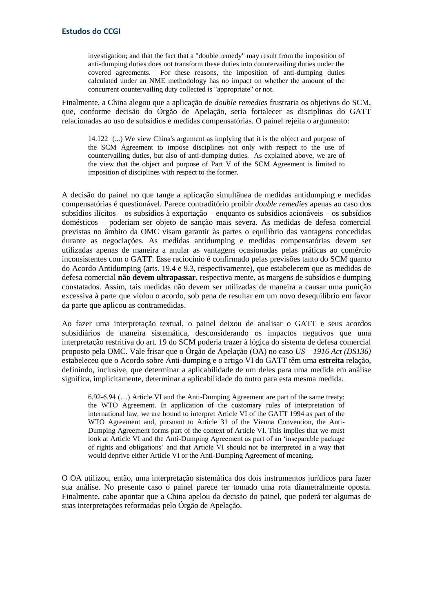investigation; and that the fact that a "double remedy" may result from the imposition of anti-dumping duties does not transform these duties into countervailing duties under the covered agreements. For these reasons, the imposition of anti-dumping duties calculated under an NME methodology has no impact on whether the amount of the concurrent countervailing duty collected is "appropriate" or not.

Finalmente, a China alegou que a aplicação de *double remedies* frustraria os objetivos do SCM, que, conforme decisão do Órgão de Apelação, seria fortalecer as disciplinas do GATT relacionadas ao uso de subsídios e medidas compensatórias. O painel rejeita o argumento:

14.122 (...) We view China's argument as implying that it is the object and purpose of the SCM Agreement to impose disciplines not only with respect to the use of countervailing duties, but also of anti-dumping duties. As explained above, we are of the view that the object and purpose of Part V of the SCM Agreement is limited to imposition of disciplines with respect to the former.

A decisão do painel no que tange a aplicação simultânea de medidas antidumping e medidas compensatórias é questionável. Parece contraditório proibir *double remedies* apenas ao caso dos subsídios ilícitos – os subsídios à exportação – enquanto os subsídios acionáveis – os subsídios domésticos – poderiam ser objeto de sanção mais severa. As medidas de defesa comercial previstas no âmbito da OMC visam garantir às partes o equilíbrio das vantagens concedidas durante as negociações. As medidas antidumping e medidas compensatórias devem ser utilizadas apenas de maneira a anular as vantagens ocasionadas pelas práticas ao comércio inconsistentes com o GATT. Esse raciocínio é confirmado pelas previsões tanto do SCM quanto do Acordo Antidumping (arts. 19.4 e 9.3, respectivamente), que estabelecem que as medidas de defesa comercial **não devem ultrapassar**, respectiva mente, as margens de subsídios e dumping constatados. Assim, tais medidas não devem ser utilizadas de maneira a causar uma punição excessiva à parte que violou o acordo, sob pena de resultar em um novo desequilíbrio em favor da parte que aplicou as contramedidas.

Ao fazer uma interpretação textual, o painel deixou de analisar o GATT e seus acordos subsidiários de maneira sistemática, desconsiderando os impactos negativos que uma interpretação restritiva do art. 19 do SCM poderia trazer à lógica do sistema de defesa comercial proposto pela OMC. Vale frisar que o Órgão de Apelação (OA) no caso *US – 1916 Act (DS136)* estabeleceu que o Acordo sobre Anti-dumping e o artigo VI do GATT têm uma **estreita** relação, definindo, inclusive, que determinar a aplicabilidade de um deles para uma medida em análise significa, implicitamente, determinar a aplicabilidade do outro para esta mesma medida.

6.92-6.94 (…) Article VI and the Anti-Dumping Agreement are part of the same treaty: the WTO Agreement. In application of the customary rules of interpretation of international law, we are bound to interpret Article VI of the GATT 1994 as part of the WTO Agreement and, pursuant to Article 31 of the Vienna Convention, the Anti-Dumping Agreement forms part of the context of Article VI. This implies that we must look at Article VI and the Anti-Dumping Agreement as part of an 'inseparable package of rights and obligations' and that Article VI should not be interpreted in a way that would deprive either Article VI or the Anti-Dumping Agreement of meaning.

O OA utilizou, então, uma interpretação sistemática dos dois instrumentos jurídicos para fazer sua análise. No presente caso o painel parece ter tomado uma rota diametralmente oposta. Finalmente, cabe apontar que a China apelou da decisão do painel, que poderá ter algumas de suas interpretações reformadas pelo Órgão de Apelação.